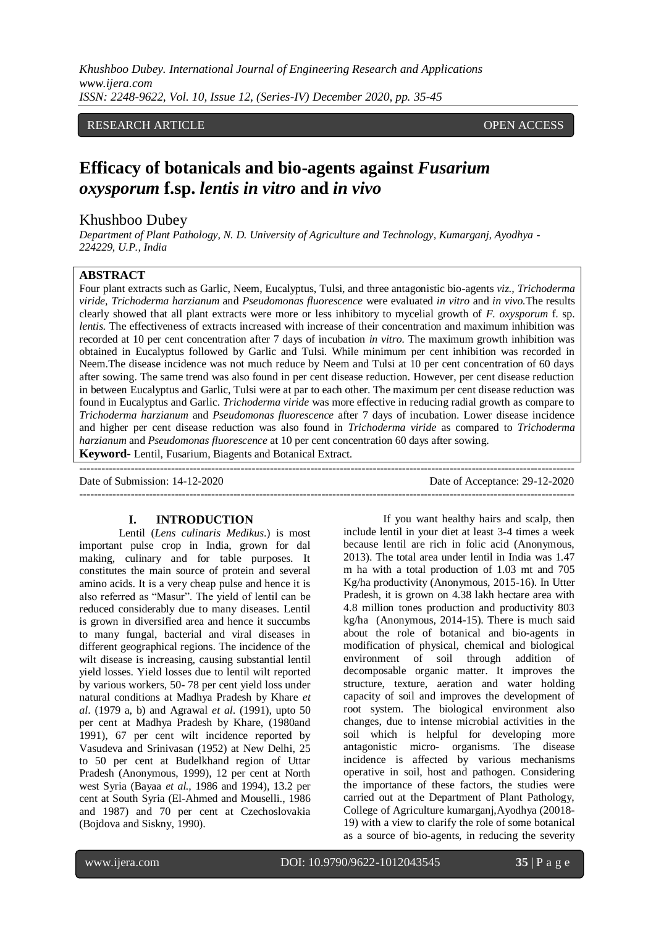*Khushboo Dubey. International Journal of Engineering Research and Applications www.ijera.com ISSN: 2248-9622, Vol. 10, Issue 12, (Series-IV) December 2020, pp. 35-45*

## RESEARCH ARTICLE **CONSERVERS** OPEN ACCESS

# **Efficacy of botanicals and bio-agents against** *Fusarium oxysporum* **f.sp.** *lentis in vitro* **and** *in vivo*

## Khushboo Dubey

*Department of Plant Pathology, N. D. University of Agriculture and Technology, Kumarganj, Ayodhya - 224229, U.P., India*

#### **ABSTRACT**

Four plant extracts such as Garlic, Neem, Eucalyptus, Tulsi, and three antagonistic bio-agents *viz., Trichoderma viride, Trichoderma harzianum* and *Pseudomonas fluorescence* were evaluated *in vitro* and *in vivo.*The results clearly showed that all plant extracts were more or less inhibitory to mycelial growth of *F. oxysporum* f. sp. *lentis.* The effectiveness of extracts increased with increase of their concentration and maximum inhibition was recorded at 10 per cent concentration after 7 days of incubation *in vitro.* The maximum growth inhibition was obtained in Eucalyptus followed by Garlic and Tulsi. While minimum per cent inhibition was recorded in Neem.The disease incidence was not much reduce by Neem and Tulsi at 10 per cent concentration of 60 days after sowing. The same trend was also found in per cent disease reduction. However, per cent disease reduction in between Eucalyptus and Garlic, Tulsi were at par to each other. The maximum per cent disease reduction was found in Eucalyptus and Garlic. *Trichoderma viride* was more effective in reducing radial growth as compare to *Trichoderma harzianum* and *Pseudomonas fluorescence* after 7 days of incubation. Lower disease incidence and higher per cent disease reduction was also found in *Trichoderma viride* as compared to *Trichoderma harzianum* and *Pseudomonas fluorescence* at 10 per cent concentration 60 days after sowing. **Keyword-** Lentil, Fusarium, Biagents and Botanical Extract.

--------------------------------------------------------------------------------------------------------------------------------------- Date of Submission: 14-12-2020 Date of Acceptance: 29-12-2020 ---------------------------------------------------------------------------------------------------------------------------------------

## **I. INTRODUCTION**

Lentil (*Lens culinaris Medikus*.) is most important pulse crop in India, grown for dal making, culinary and for table purposes. It constitutes the main source of protein and several amino acids. It is a very cheap pulse and hence it is also referred as "Masur". The yield of lentil can be reduced considerably due to many diseases. Lentil is grown in diversified area and hence it succumbs to many fungal, bacterial and viral diseases in different geographical regions. The incidence of the wilt disease is increasing, causing substantial lentil yield losses. Yield losses due to lentil wilt reported by various workers, 50- 78 per cent yield loss under natural conditions at Madhya Pradesh by Khare *et al*. (1979 a, b) and Agrawal *et al*. (1991), upto 50 per cent at Madhya Pradesh by Khare, (1980and 1991), 67 per cent wilt incidence reported by Vasudeva and Srinivasan (1952) at New Delhi, 25 to 50 per cent at Budelkhand region of Uttar Pradesh (Anonymous, 1999), 12 per cent at North west Syria (Bayaa *et al.,* 1986 and 1994), 13.2 per cent at South Syria (El-Ahmed and Mouselli., 1986 and 1987) and 70 per cent at Czechoslovakia (Bojdova and Siskny, 1990).

If you want healthy hairs and scalp, then include lentil in your diet at least 3-4 times a week because lentil are rich in folic acid (Anonymous, 2013). The total area under lentil in India was 1.47 m ha with a total production of 1.03 mt and 705 Kg/ha productivity (Anonymous, 2015-16). In Utter Pradesh, it is grown on 4.38 lakh hectare area with 4.8 million tones production and productivity 803 kg/ha (Anonymous, 2014-15). There is much said about the role of botanical and bio-agents in modification of physical, chemical and biological environment of soil through addition of decomposable organic matter. It improves the structure, texture, aeration and water holding capacity of soil and improves the development of root system. The biological environment also changes, due to intense microbial activities in the soil which is helpful for developing more antagonistic micro- organisms. The disease incidence is affected by various mechanisms operative in soil, host and pathogen. Considering the importance of these factors, the studies were carried out at the Department of Plant Pathology, College of Agriculture kumarganj,Ayodhya (20018- 19) with a view to clarify the role of some botanical as a source of bio-agents, in reducing the severity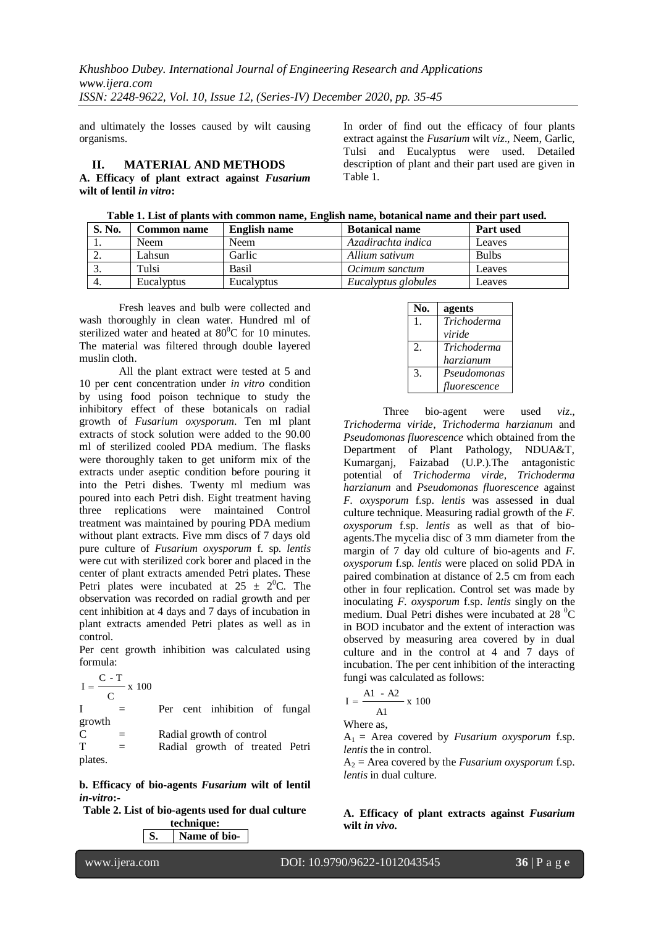and ultimately the losses caused by wilt causing organisms.

#### **II. MATERIAL AND METHODS A. Efficacy of plant extract against** *Fusarium* **wilt of lentil** *in vitro***:**

In order of find out the efficacy of four plants extract against the *Fusarium* wilt *viz*., Neem, Garlic, Tulsi and Eucalyptus were used. Detailed description of plant and their part used are given in Table 1.

| S. No.     | <b>Common name</b> | <b>English name</b> | <b>Botanical name</b> | <b>Part used</b> |
|------------|--------------------|---------------------|-----------------------|------------------|
| . .        | <b>Neem</b>        | Neem                | Azadirachta indica    | Leaves           |
| <u>، ،</u> | Lahsun             | Garlic              | Allium sativum        | <b>Bulbs</b>     |
| . ب        | Tulsi              | Basil               | Ocimum sanctum        | Leaves           |
| 4.         | Eucalyptus         | Eucalyptus          | Eucalyptus globules   | Leaves           |

Fresh leaves and bulb were collected and wash thoroughly in clean water. Hundred ml of sterilized water and heated at  $80^{\circ}$ C for 10 minutes. The material was filtered through double layered muslin cloth.

All the plant extract were tested at 5 and 10 per cent concentration under *in vitro* condition by using food poison technique to study the inhibitory effect of these botanicals on radial growth of *Fusarium oxysporum*. Ten ml plant extracts of stock solution were added to the 90.00 ml of sterilized cooled PDA medium. The flasks were thoroughly taken to get uniform mix of the extracts under aseptic condition before pouring it into the Petri dishes. Twenty ml medium was poured into each Petri dish. Eight treatment having three replications were maintained Control treatment was maintained by pouring PDA medium without plant extracts. Five mm discs of 7 days old pure culture of *Fusarium oxysporum* f. sp. *lentis* were cut with sterilized cork borer and placed in the center of plant extracts amended Petri plates. These Petri plates were incubated at  $25 \pm 2^0C$ . The observation was recorded on radial growth and per cent inhibition at 4 days and 7 days of incubation in plant extracts amended Petri plates as well as in control.

Per cent growth inhibition was calculated using formula:

 $I = \frac{C - T}{T} \times 100$ C I = Per cent inhibition of fungal growth  $C =$  Radial growth of control T = Radial growth of treated Petri plates.

**b. Efficacy of bio-agents** *Fusarium* **wilt of lentil**  *in***-***vitro***:-**

**Table 2. List of bio-agents used for dual culture technique: S. Name of bio-** **No. agents** 1. *Trichoderma viride* 2. *Trichoderma harzianum* 3. *Pseudomonas fluorescence*

Three bio-agent were used *viz*., *Trichoderma viride*, *Trichoderma harzianum* and *Pseudomonas fluorescence* which obtained from the Department of Plant Pathology, NDUA&T, Kumarganj, Faizabad (U.P.).The antagonistic potential of *Trichoderma virde, Trichoderma harzianum* and *Pseudomonas fluorescence* against *F. oxysporum* f.sp. *lentis* was assessed in dual culture technique. Measuring radial growth of the *F. oxysporum* f.sp. *lentis* as well as that of bioagents.The mycelia disc of 3 mm diameter from the margin of 7 day old culture of bio-agents and *F*. *oxysporum* f.sp. *lentis* were placed on solid PDA in paired combination at distance of 2.5 cm from each other in four replication. Control set was made by inoculating *F*. *oxysporum* f.sp. *lentis* singly on the medium. Dual Petri dishes were incubated at 28 <sup>0</sup>C in BOD incubator and the extent of interaction was observed by measuring area covered by in dual culture and in the control at 4 and 7 days of incubation. The per cent inhibition of the interacting fungi was calculated as follows:

$$
I = \frac{A1 - A2}{A1} \times 100
$$

Where as,

 $A_1$  = Area covered by *Fusarium oxysporum* f.sp. *lentis* the in control.

 $A_2$  = Area covered by the *Fusarium oxysporum* f.sp. *lentis* in dual culture.

**A. Efficacy of plant extracts against** *Fusarium* **wilt** *in vivo***.**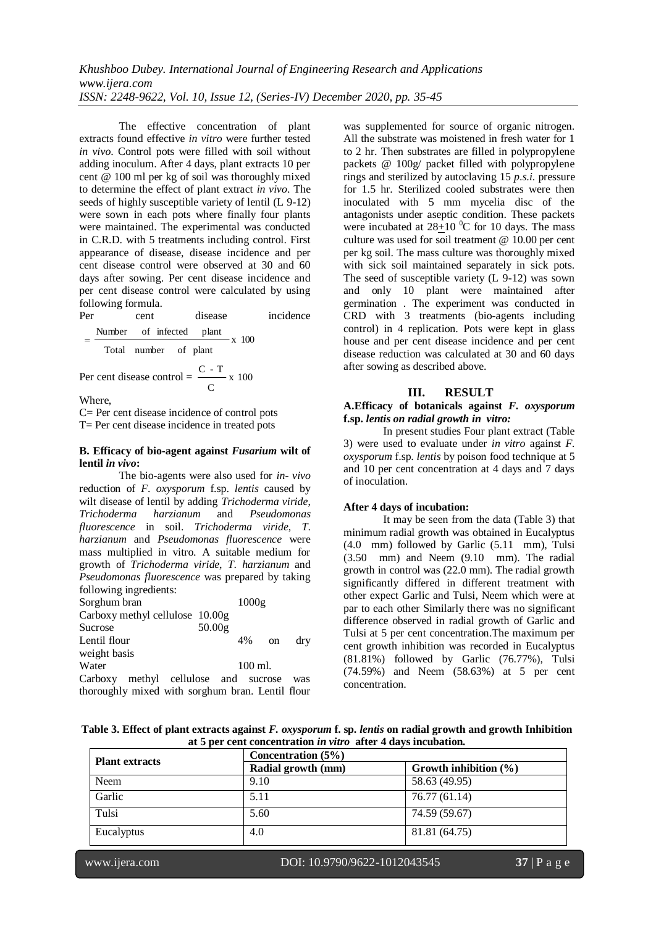The effective concentration of plant extracts found effective *in vitro* were further tested *in vivo*. Control pots were filled with soil without adding inoculum. After 4 days, plant extracts 10 per cent @ 100 ml per kg of soil was thoroughly mixed to determine the effect of plant extract *in vivo*. The seeds of highly susceptible variety of lentil (L 9-12) were sown in each pots where finally four plants were maintained. The experimental was conducted in C.R.D. with 5 treatments including control. First appearance of disease, disease incidence and per cent disease control were observed at 30 and 60 days after sowing. Per cent disease incidence and per cent disease control were calculated by using following formula.

Per cent disease incidence  $-x$  100 Total number of plant Number of infected plant  $=$ C - T

Per cent disease control  $=$   $\frac{\ }{3}$  x 100 C

#### Where,

C= Per cent disease incidence of control pots T= Per cent disease incidence in treated pots

#### **B. Efficacy of bio-agent against** *Fusarium* **wilt of lentil** *in vivo***:**

The bio-agents were also used for *in*- *vivo* reduction of *F*. *oxysporum* f.sp. *lentis* caused by wilt disease of lentil by adding *Trichoderma viride*, *Trichoderma harzianum* and *Pseudomonas fluorescence* in soil. *Trichoderma viride*, *T*. *harzianum* and *Pseudomonas fluorescence* were mass multiplied in vitro. A suitable medium for growth of *Trichoderma viride*, *T*. *harzianum* and *Pseudomonas fluorescence* was prepared by taking following ingredients:

| Sorghum bran                                     |        | 1000g     |               |                  |
|--------------------------------------------------|--------|-----------|---------------|------------------|
| Carboxy methyl cellulose 10.00g                  |        |           |               |                  |
| Sucrose                                          | 50.00g |           |               |                  |
| Lentil flour                                     |        | 4%        | <sub>on</sub> | $\rm{d}r \rm{v}$ |
| weight basis                                     |        |           |               |                  |
| Water                                            |        | $100$ ml. |               |                  |
| Carboxy methyl cellulose and sucrose             |        |           |               | was              |
| thoroughly mixed with sorghum bran. Lentil flour |        |           |               |                  |

was supplemented for source of organic nitrogen. All the substrate was moistened in fresh water for 1 to 2 hr. Then substrates are filled in polypropylene packets @ 100g/ packet filled with polypropylene rings and sterilized by autoclaving 15 *p*.*s*.*i*. pressure for 1.5 hr. Sterilized cooled substrates were then inoculated with 5 mm mycelia disc of the antagonists under aseptic condition. These packets were incubated at  $28\pm10$  °C for 10 days. The mass culture was used for soil treatment @ 10.00 per cent per kg soil. The mass culture was thoroughly mixed with sick soil maintained separately in sick pots. The seed of susceptible variety (L 9-12) was sown and only 10 plant were maintained after germination . The experiment was conducted in CRD with 3 treatments (bio-agents including control) in 4 replication. Pots were kept in glass house and per cent disease incidence and per cent disease reduction was calculated at 30 and 60 days after sowing as described above.

#### **III. RESULT**

## **A.Efficacy of botanicals against** *F***.** *oxysporum* **f.sp.** *lentis on radial growth in vitro:*

In present studies Four plant extract (Table 3) were used to evaluate under *in vitro* against *F. oxysporum* f.sp*. lentis* by poison food technique at 5 and 10 per cent concentration at 4 days and 7 days of inoculation.

#### **After 4 days of incubation:**

It may be seen from the data (Table 3) that minimum radial growth was obtained in Eucalyptus (4.0 mm) followed by Garlic (5.11 mm), Tulsi (3.50 mm) and Neem (9.10 mm). The radial growth in control was (22.0 mm). The radial growth significantly differed in different treatment with other expect Garlic and Tulsi, Neem which were at par to each other Similarly there was no significant difference observed in radial growth of Garlic and Tulsi at 5 per cent concentration.The maximum per cent growth inhibition was recorded in Eucalyptus (81.81%) followed by Garlic (76.77%), Tulsi (74.59%) and Neem (58.63%) at 5 per cent concentration.

**Table 3. Effect of plant extracts against** *F. oxysporum* **f. sp.** *lentis* **on radial growth and growth Inhibition at 5 per cent concentration** *in vitro* **after 4 days incubation***.*

| <b>Plant extracts</b> | Concentration $(5\%)$ |                           |  |
|-----------------------|-----------------------|---------------------------|--|
|                       | Radial growth (mm)    | Growth inhibition $(\% )$ |  |
| Neem                  | 9.10                  | 58.63 (49.95)             |  |
| Garlic                | 5.11                  | 76.77 (61.14)             |  |
| Tulsi                 | 5.60                  | 74.59 (59.67)             |  |
| Eucalyptus            | 4.0                   | 81.81 (64.75)             |  |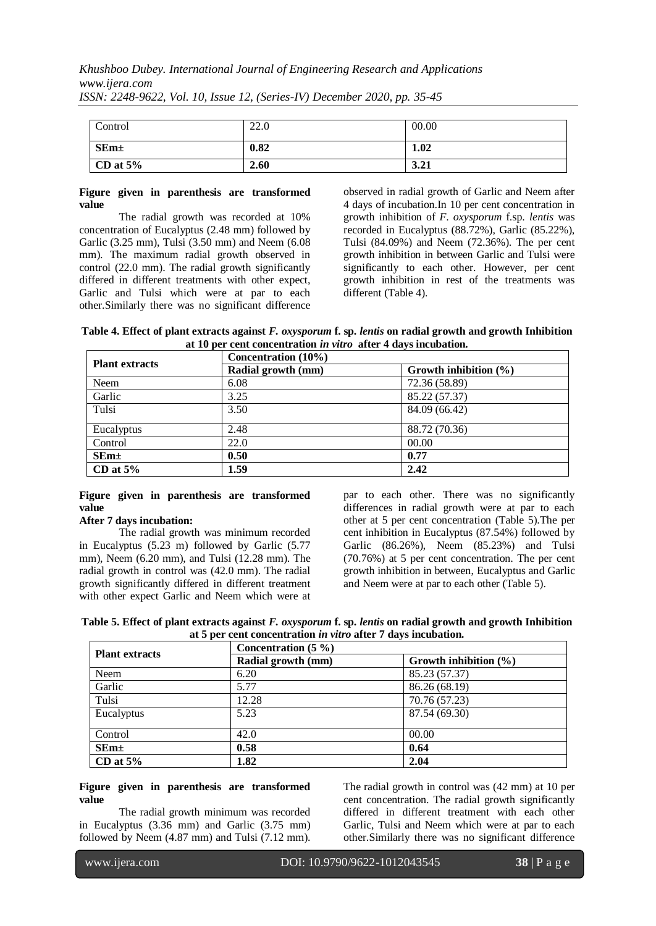*Khushboo Dubey. International Journal of Engineering Research and Applications www.ijera.com ISSN: 2248-9622, Vol. 10, Issue 12, (Series-IV) December 2020, pp. 35-45*

| Control    | 22.0 | 00.00 |
|------------|------|-------|
| $SEm\pm$   | 0.82 | 1.02  |
| CD at $5%$ | 2.60 | 3.21  |

#### **Figure given in parenthesis are transformed value**

The radial growth was recorded at 10% concentration of Eucalyptus (2.48 mm) followed by Garlic (3.25 mm), Tulsi (3.50 mm) and Neem (6.08 mm). The maximum radial growth observed in control (22.0 mm). The radial growth significantly differed in different treatments with other expect, Garlic and Tulsi which were at par to each other.Similarly there was no significant difference observed in radial growth of Garlic and Neem after 4 days of incubation.In 10 per cent concentration in growth inhibition of *F*. *oxysporum* f.sp. *lentis* was recorded in Eucalyptus (88.72%), Garlic (85.22%), Tulsi (84.09%) and Neem (72.36%). The per cent growth inhibition in between Garlic and Tulsi were significantly to each other. However, per cent growth inhibition in rest of the treatments was different (Table 4).

**Table 4. Effect of plant extracts against** *F. oxysporum* **f. sp.** *lentis* **on radial growth and growth Inhibition at 10 per cent concentration** *in vitro* **after 4 days incubation***.*

| <b>Plant extracts</b> | Concentration (10%) |                          |  |
|-----------------------|---------------------|--------------------------|--|
|                       | Radial growth (mm)  | Growth inhibition $(\%)$ |  |
| Neem                  | 6.08                | 72.36 (58.89)            |  |
| Garlic                | 3.25                | 85.22 (57.37)            |  |
| Tulsi                 | 3.50                | 84.09 (66.42)            |  |
| Eucalyptus            | 2.48                | 88.72 (70.36)            |  |
| Control               | 22.0                | 00.00                    |  |
| $SEm+$                | 0.50                | 0.77                     |  |
| CD at $5\%$           | 1.59                | 2.42                     |  |

#### **Figure given in parenthesis are transformed value**

## **After 7 days incubation:**

The radial growth was minimum recorded in Eucalyptus (5.23 m) followed by Garlic (5.77 mm), Neem (6.20 mm), and Tulsi (12.28 mm). The radial growth in control was (42.0 mm). The radial growth significantly differed in different treatment with other expect Garlic and Neem which were at par to each other. There was no significantly differences in radial growth were at par to each other at 5 per cent concentration (Table 5).The per cent inhibition in Eucalyptus (87.54%) followed by Garlic (86.26%), Neem (85.23%) and Tulsi (70.76%) at 5 per cent concentration. The per cent growth inhibition in between, Eucalyptus and Garlic and Neem were at par to each other (Table 5).

| Table 5. Effect of plant extracts against F. oxysporum f. sp. lentis on radial growth and growth Inhibition |  |
|-------------------------------------------------------------------------------------------------------------|--|
| at 5 per cent concentration in vitro after 7 days incubation.                                               |  |

| <b>Plant extracts</b> | Concentration $(5\%)$ |                           |  |
|-----------------------|-----------------------|---------------------------|--|
|                       | Radial growth (mm)    | Growth inhibition $(\% )$ |  |
| Neem                  | 6.20                  | 85.23 (57.37)             |  |
| Garlic                | 5.77                  | 86.26 (68.19)             |  |
| Tulsi                 | 12.28                 | 70.76 (57.23)             |  |
| Eucalyptus            | 5.23                  | 87.54 (69.30)             |  |
|                       |                       |                           |  |
| Control               | 42.0                  | 00.00                     |  |
| SEm <sub>±</sub>      | 0.58                  | 0.64                      |  |
| CD at $5\%$           | 1.82                  | 2.04                      |  |

#### **Figure given in parenthesis are transformed value**

The radial growth minimum was recorded in Eucalyptus (3.36 mm) and Garlic (3.75 mm) followed by Neem (4.87 mm) and Tulsi (7.12 mm).

The radial growth in control was (42 mm) at 10 per cent concentration. The radial growth significantly differed in different treatment with each other Garlic, Tulsi and Neem which were at par to each other.Similarly there was no significant difference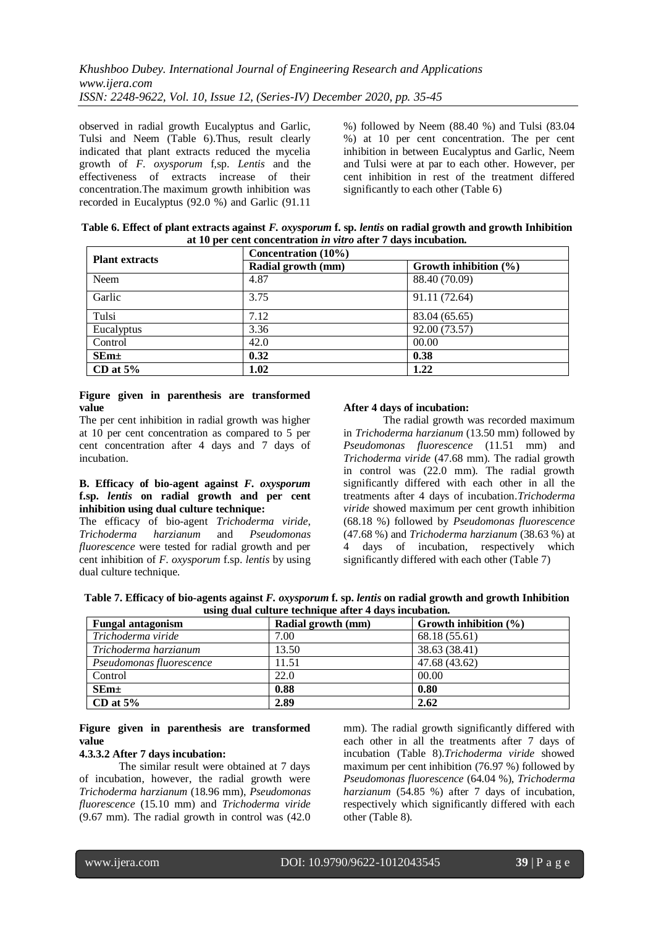observed in radial growth Eucalyptus and Garlic, Tulsi and Neem (Table 6).Thus, result clearly indicated that plant extracts reduced the mycelia growth of *F*. *oxysporum* f,sp. *Lentis* and the effectiveness of extracts increase of their concentration.The maximum growth inhibition was recorded in Eucalyptus (92.0 %) and Garlic (91.11

%) followed by Neem (88.40 %) and Tulsi (83.04 %) at 10 per cent concentration. The per cent inhibition in between Eucalyptus and Garlic, Neem and Tulsi were at par to each other. However, per cent inhibition in rest of the treatment differed significantly to each other (Table 6)

| Table 6. Effect of plant extracts against F. oxysporum f. sp. lent is on radial growth and growth Inhibition |  |
|--------------------------------------------------------------------------------------------------------------|--|
| at 10 per cent concentration in vitro after 7 days incubation.                                               |  |

| <b>Plant extracts</b> | Concentration (10%) |                           |  |
|-----------------------|---------------------|---------------------------|--|
|                       | Radial growth (mm)  | Growth inhibition $(\% )$ |  |
| Neem                  | 4.87                | 88.40 (70.09)             |  |
| Garlic                | 3.75                | 91.11 (72.64)             |  |
| Tulsi                 | 7.12                | 83.04 (65.65)             |  |
| Eucalyptus            | 3.36                | 92.00 (73.57)             |  |
| Control               | 42.0                | 00.00                     |  |
| SEm <sub>±</sub>      | 0.32                | 0.38                      |  |
| CD at $5%$            | 1.02                | 1.22                      |  |

#### **Figure given in parenthesis are transformed value**

The per cent inhibition in radial growth was higher at 10 per cent concentration as compared to 5 per cent concentration after 4 days and 7 days of incubation.

#### **B. Efficacy of bio-agent against** *F***.** *oxysporum* **f.sp.** *lentis* **on radial growth and per cent inhibition using dual culture technique:**

The efficacy of bio-agent *Trichoderma viride*, *Trichoderma harzianum* and *Pseudomonas fluorescence* were tested for radial growth and per cent inhibition of *F*. *oxysporum* f.sp. *lentis* by using dual culture technique.

# **After 4 days of incubation:**

The radial growth was recorded maximum in *Trichoderma harzianum* (13.50 mm) followed by *Pseudomonas fluorescence* (11.51 mm) and *Trichoderma viride* (47.68 mm). The radial growth in control was (22.0 mm). The radial growth significantly differed with each other in all the treatments after 4 days of incubation.*Trichoderma viride* showed maximum per cent growth inhibition (68.18 %) followed by *Pseudomonas fluorescence* (47.68 %) and *Trichoderma harzianum* (38.63 %) at 4 days of incubation, respectively which significantly differed with each other (Table 7)

| Table 7. Efficacy of bio-agents against F. oxysporum f. sp. lentis on radial growth and growth Inhibition |  |
|-----------------------------------------------------------------------------------------------------------|--|
| using dual culture technique after 4 days incubation.                                                     |  |

| <b>Fungal antagonism</b> | Radial growth (mm) | Growth inhibition $(\%)$ |
|--------------------------|--------------------|--------------------------|
| Trichoderma viride       | 7.00               | 68.18 (55.61)            |
| Trichoderma harzianum    | 13.50              | 38.63 (38.41)            |
| Pseudomonas fluorescence | 11.51              | 47.68 (43.62)            |
| Control                  | 22.0               | 00.00                    |
| SEm <sub>±</sub>         | 0.88               | 0.80                     |
| CD at $5\%$              | 2.89               | 2.62                     |

## **Figure given in parenthesis are transformed value**

## **4.3.3.2 After 7 days incubation:**

The similar result were obtained at 7 days of incubation, however, the radial growth were *Trichoderma harzianum* (18.96 mm), *Pseudomonas fluorescence* (15.10 mm) and *Trichoderma viride* (9.67 mm). The radial growth in control was (42.0 mm). The radial growth significantly differed with each other in all the treatments after 7 days of incubation (Table 8).*Trichoderma viride* showed maximum per cent inhibition (76.97 %) followed by *Pseudomonas fluorescence* (64.04 %), *Trichoderma harzianum* (54.85 %) after 7 days of incubation, respectively which significantly differed with each other (Table 8).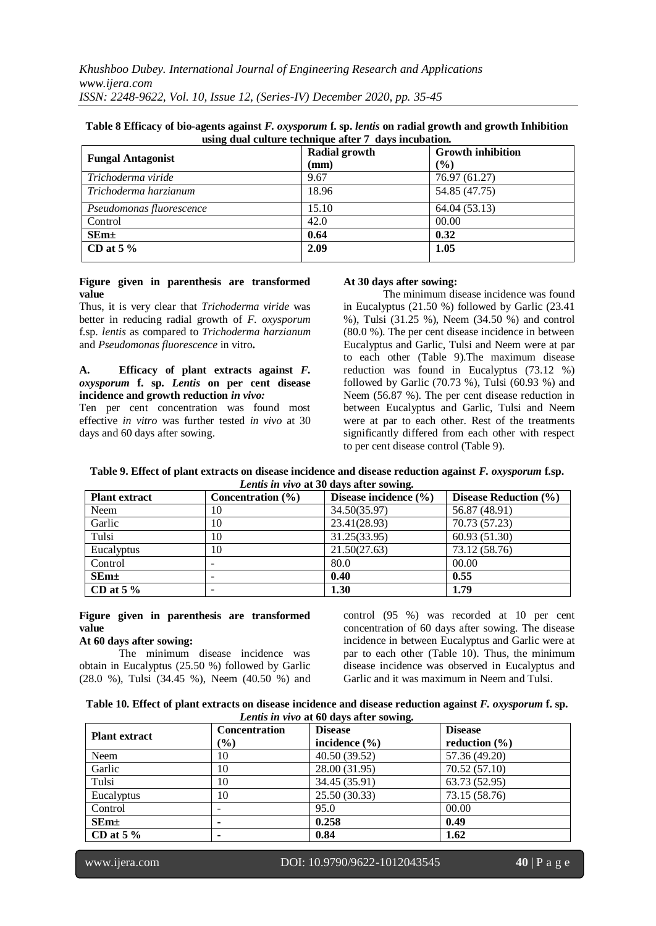| Table 8 Efficacy of bio-agents against F. oxysporum f. sp. lent is on radial growth and growth Inhibition |
|-----------------------------------------------------------------------------------------------------------|
| using dual culture technique after 7 days incubation.                                                     |

| <b>Fungal Antagonist</b> | <b>Radial growth</b> | <b>Growth inhibition</b> |
|--------------------------|----------------------|--------------------------|
|                          | (mm)                 | (%)                      |
| Trichoderma viride       | 9.67                 | 76.97 (61.27)            |
| Trichoderma harzianum    | 18.96                | 54.85 (47.75)            |
| Pseudomonas fluorescence | 15.10                | 64.04 (53.13)            |
| Control                  | 42.0                 | 00.00                    |
| $SEm+$                   | 0.64                 | 0.32                     |
| CD at $5\%$              | 2.09                 | 1.05                     |

**Figure given in parenthesis are transformed value**

Thus, it is very clear that *Trichoderma viride* was better in reducing radial growth of *F*. *oxysporum* f.sp. *lentis* as compared to *Trichoderma harzianum* and *Pseudomonas fluorescence* in vitro**.**

## **A. Efficacy of plant extracts against** *F. oxysporum* **f. sp.** *Lentis* **on per cent disease incidence and growth reduction** *in vivo:*

Ten per cent concentration was found most effective *in vitro* was further tested *in vivo* at 30 days and 60 days after sowing.

## **At 30 days after sowing:**

The minimum disease incidence was found in Eucalyptus (21.50 %) followed by Garlic (23.41 %), Tulsi (31.25 %), Neem (34.50 %) and control (80.0 %). The per cent disease incidence in between Eucalyptus and Garlic, Tulsi and Neem were at par to each other (Table 9).The maximum disease reduction was found in Eucalyptus (73.12 %) followed by Garlic  $(70.73 \%)$ , Tulsi  $(60.93 \%)$  and Neem (56.87 %). The per cent disease reduction in between Eucalyptus and Garlic, Tulsi and Neem were at par to each other. Rest of the treatments significantly differed from each other with respect to per cent disease control (Table 9).

| Table 9. Effect of plant extracts on disease incidence and disease reduction against F. oxysporum f.sp. |
|---------------------------------------------------------------------------------------------------------|
| Lentis in vivo at 30 days after sowing.                                                                 |

| <b>Plant extract</b> | Concentration $(\% )$ | Disease incidence $(\% )$ | Disease Reduction $(\% )$ |
|----------------------|-----------------------|---------------------------|---------------------------|
| Neem                 | 10                    | 34.50(35.97)              | 56.87 (48.91)             |
| Garlic               | 10                    | 23.41(28.93)              | 70.73 (57.23)             |
| Tulsi                | 10                    | 31.25(33.95)              | 60.93 (51.30)             |
| Eucalyptus           | 10                    | 21.50(27.63)              | 73.12 (58.76)             |
| Control              |                       | 80.0                      | 00.00                     |
| SEm <sub>±</sub>     |                       | 0.40                      | 0.55                      |
| CD at $5\%$          |                       | 1.30                      | 1.79                      |

#### **Figure given in parenthesis are transformed value**

## **At 60 days after sowing:**

The minimum disease incidence was obtain in Eucalyptus (25.50 %) followed by Garlic (28.0 %), Tulsi (34.45 %), Neem (40.50 %) and control (95 %) was recorded at 10 per cent concentration of 60 days after sowing. The disease incidence in between Eucalyptus and Garlic were at par to each other (Table 10). Thus, the minimum disease incidence was observed in Eucalyptus and Garlic and it was maximum in Neem and Tulsi.

| Table 10. Effect of plant extracts on disease incidence and disease reduction against F. oxysporum f. sp. |  |
|-----------------------------------------------------------------------------------------------------------|--|
| <i>Lentis in vivo</i> at 60 days after sowing.                                                            |  |

| <b>Plant extract</b> | <b>Concentration</b><br>$(\%)$ | <b>Disease</b><br>incidence $(\% )$ | <b>Disease</b><br>reduction $(\% )$ |
|----------------------|--------------------------------|-------------------------------------|-------------------------------------|
| Neem                 | 10                             | 40.50 (39.52)                       | 57.36 (49.20)                       |
| Garlic               | 10                             | 28.00 (31.95)                       | 70.52 (57.10)                       |
| Tulsi                | 10                             | 34.45 (35.91)                       | 63.73 (52.95)                       |
| Eucalyptus           | 10                             | 25.50 (30.33)                       | 73.15 (58.76)                       |
| Control              |                                | 95.0                                | 00.00                               |
| $SEm\pm$             |                                | 0.258                               | 0.49                                |
| CD at $5\%$          |                                | 0.84                                | 1.62                                |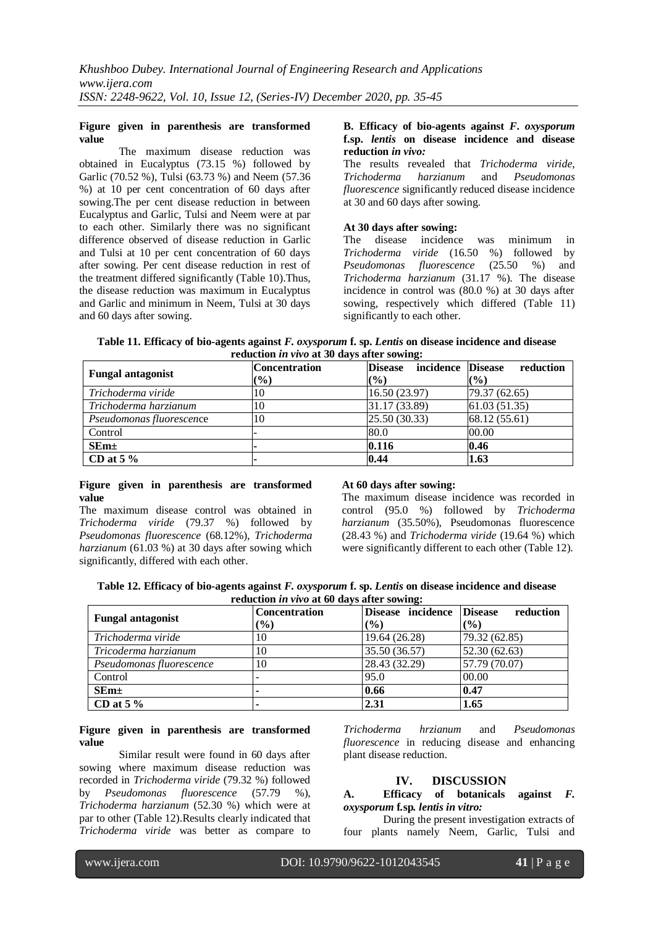#### **Figure given in parenthesis are transformed value**

The maximum disease reduction was obtained in Eucalyptus (73.15 %) followed by Garlic (70.52 %), Tulsi (63.73 %) and Neem (57.36 %) at 10 per cent concentration of 60 days after sowing.The per cent disease reduction in between Eucalyptus and Garlic, Tulsi and Neem were at par to each other. Similarly there was no significant difference observed of disease reduction in Garlic and Tulsi at 10 per cent concentration of 60 days after sowing. Per cent disease reduction in rest of the treatment differed significantly (Table 10).Thus, the disease reduction was maximum in Eucalyptus and Garlic and minimum in Neem, Tulsi at 30 days and 60 days after sowing.

## **B. Efficacy of bio-agents against** *F***.** *oxysporum* **f.sp.** *lentis* **on disease incidence and disease reduction** *in vivo:*

The results revealed that *Trichoderma viride*, *Trichoderma harzianum* and *Pseudomonas fluorescence* significantly reduced disease incidence at 30 and 60 days after sowing.

## **At 30 days after sowing:**

The disease incidence was minimum in *Trichoderma viride* (16.50 %) followed by *Pseudomonas fluorescence* (25.50 %) and *Trichoderma harzianum* (31.17 %). The disease incidence in control was (80.0 %) at 30 days after sowing, respectively which differed (Table 11) significantly to each other.

**Table 11. Efficacy of bio-agents against** *F. oxysporum* **f. sp.** *Lentis* **on disease incidence and disease reduction** *in vivo* **at 30 days after sowing:**

| <b>Fungal antagonist</b> | <b>Concentration</b><br>(9/0) | incidence Disease<br><b>Disease</b><br>(%) | reduction<br>$($ %) |
|--------------------------|-------------------------------|--------------------------------------------|---------------------|
| Trichoderma viride       | 10                            | 16.50(23.97)                               | 79.37 (62.65)       |
| Trichoderma harzianum    | 10                            | 31.17 (33.89)                              | 61.03(51.35)        |
| Pseudomonas fluorescence | 10                            | 25.50(30.33)                               | 68.12 (55.61)       |
| Control                  |                               | 80.0                                       | 00.00               |
| SEm <sub>±</sub>         |                               | 0.116                                      | 0.46                |
| CD at $5\%$              |                               | 0.44                                       | 1.63                |

#### **Figure given in parenthesis are transformed value**

The maximum disease control was obtained in *Trichoderma viride* (79.37 %) followed by *Pseudomonas fluorescence* (68.12%), *Trichoderma harzianum* (61.03 %) at 30 days after sowing which significantly, differed with each other.

## **At 60 days after sowing:**

The maximum disease incidence was recorded in control (95.0 %) followed by *Trichoderma harzianum* (35.50%), Pseudomonas fluorescence (28.43 %) and *Trichoderma viride* (19.64 %) which were significantly different to each other (Table 12).

**Table 12. Efficacy of bio-agents against** *F. oxysporum* **f. sp.** *Lentis* **on disease incidence and disease reduction** *in vivo* **at 60 days after sowing:**

| Teauchon <i>m Tero</i> at ou an 10 and forming. |                      |                   |                             |  |
|-------------------------------------------------|----------------------|-------------------|-----------------------------|--|
| <b>Fungal antagonist</b>                        | <b>Concentration</b> | Disease incidence | reduction<br><b>Disease</b> |  |
|                                                 | $\frac{1}{2}$        | (%)               | $\frac{9}{6}$               |  |
| Trichoderma viride                              | 10                   | 19.64 (26.28)     | 79.32 (62.85)               |  |
| Tricoderma harzianum                            | 10                   | 35.50 (36.57)     | 52.30 (62.63)               |  |
| Pseudomonas fluorescence                        | 10                   | 28.43 (32.29)     | 57.79 (70.07)               |  |
| Control                                         |                      | 95.0              | 00.00                       |  |
| SEm <sub>±</sub>                                |                      | 0.66              | 0.47                        |  |
| CD at $5\%$                                     |                      | 2.31              | 1.65                        |  |

## **Figure given in parenthesis are transformed value**

Similar result were found in 60 days after sowing where maximum disease reduction was recorded in *Trichoderma viride* (79.32 %) followed by *Pseudomonas fluorescence* (57.79 %), *Trichoderma harzianum* (52.30 %) which were at par to other (Table 12).Results clearly indicated that *Trichoderma viride* was better as compare to *Trichoderma hrzianum* and *Pseudomonas fluorescence* in reducing disease and enhancing plant disease reduction.

# **IV. DISCUSSION**

## **A. Efficacy of botanicals against** *F. oxysporum* **f***.***sp***. lentis in vitro:*

During the present investigation extracts of four plants namely Neem, Garlic, Tulsi and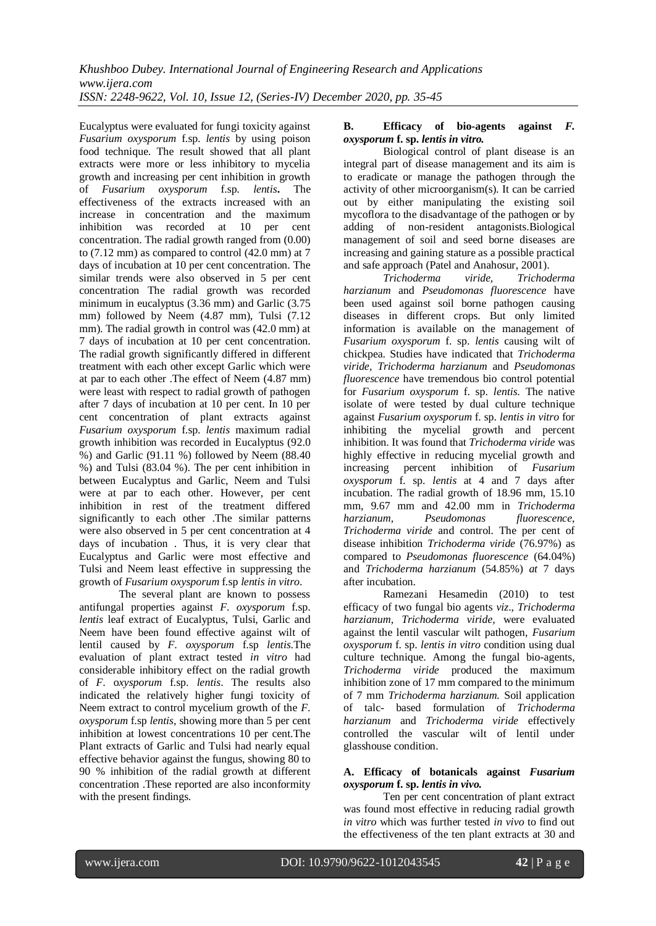Eucalyptus were evaluated for fungi toxicity against *Fusarium oxysporum* f.sp. *lentis* by using poison food technique. The result showed that all plant extracts were more or less inhibitory to mycelia growth and increasing per cent inhibition in growth of *Fusarium oxysporum* f.sp. *lentis***.** The effectiveness of the extracts increased with an increase in concentration and the maximum inhibition was recorded at 10 per cent concentration. The radial growth ranged from (0.00) to (7.12 mm) as compared to control (42.0 mm) at 7 days of incubation at 10 per cent concentration. The similar trends were also observed in 5 per cent concentration The radial growth was recorded minimum in eucalyptus (3.36 mm) and Garlic (3.75 mm) followed by Neem (4.87 mm), Tulsi (7.12 mm). The radial growth in control was (42.0 mm) at 7 days of incubation at 10 per cent concentration. The radial growth significantly differed in different treatment with each other except Garlic which were at par to each other .The effect of Neem (4.87 mm) were least with respect to radial growth of pathogen after 7 days of incubation at 10 per cent. In 10 per cent concentration of plant extracts against *Fusarium oxysporum* f.sp. *lentis* maximum radial growth inhibition was recorded in Eucalyptus (92.0  $\%$ ) and Garlic (91.11 %) followed by Neem (88.40) %) and Tulsi (83.04 %). The per cent inhibition in between Eucalyptus and Garlic, Neem and Tulsi were at par to each other. However, per cent inhibition in rest of the treatment differed significantly to each other .The similar patterns were also observed in 5 per cent concentration at 4 days of incubation . Thus, it is very clear that Eucalyptus and Garlic were most effective and Tulsi and Neem least effective in suppressing the growth of *Fusarium oxysporum* f.sp *lentis in vitro*.

The several plant are known to possess antifungal properties against *F*. *oxysporum* f.sp. *lentis* leaf extract of Eucalyptus, Tulsi, Garlic and Neem have been found effective against wilt of lentil caused by *F*. *oxysporum* f.sp *lentis*.The evaluation of plant extract tested *in vitro* had considerable inhibitory effect on the radial growth of *F*. o*xysporum* f.sp. *lentis*. The results also indicated the relatively higher fungi toxicity of Neem extract to control mycelium growth of the *F*. *oxysporum* f.sp *lentis*, showing more than 5 per cent inhibition at lowest concentrations 10 per cent.The Plant extracts of Garlic and Tulsi had nearly equal effective behavior against the fungus, showing 80 to 90 % inhibition of the radial growth at different concentration .These reported are also inconformity with the present findings.

#### **B. Efficacy of bio-agents against** *F. oxysporum* **f. sp.** *lentis in vitro.*

Biological control of plant disease is an integral part of disease management and its aim is to eradicate or manage the pathogen through the activity of other microorganism(s). It can be carried out by either manipulating the existing soil mycoflora to the disadvantage of the pathogen or by adding of non-resident antagonists.Biological management of soil and seed borne diseases are increasing and gaining stature as a possible practical and safe approach (Patel and Anahosur, 2001).

*Trichoderma viride, Trichoderma harzianum* and *Pseudomonas fluorescence* have been used against soil borne pathogen causing diseases in different crops. But only limited information is available on the management of *Fusarium oxysporum* f. sp. *lentis* causing wilt of chickpea. Studies have indicated that *Trichoderma viride, Trichoderma harzianum* and *Pseudomonas fluorescence* have tremendous bio control potential for *Fusarium oxysporum* f. sp. *lentis.* The native isolate of were tested by dual culture technique against *Fusarium oxysporum* f. sp. *lentis in vitro* for inhibiting the mycelial growth and percent inhibition. It was found that *Trichoderma viride* was highly effective in reducing mycelial growth and increasing percent inhibition of *Fusarium oxysporum* f. sp. *lentis* at 4 and 7 days after incubation. The radial growth of 18.96 mm, 15.10 mm, 9.67 mm and 42.00 mm in *Trichoderma harzianum, Pseudomonas fluorescence, Trichoderma viride* and control. The per cent of disease inhibition *Trichoderma viride* (76.97%) as compared to *Pseudomonas fluorescence* (64.04%) and *Trichoderma harzianum* (54.85%) *at* 7 days after incubation.

Ramezani Hesamedin (2010) to test efficacy of two fungal bio agents *viz*., *Trichoderma harzianum, Trichoderma viride,* were evaluated against the lentil vascular wilt pathogen, *Fusarium oxysporum* f. sp. *lentis in vitro* condition using dual culture technique. Among the fungal bio-agents, *Trichoderma viride* produced the maximum inhibition zone of 17 mm compared to the minimum of 7 mm *Trichoderma harzianum.* Soil application of talc- based formulation of *Trichoderma harzianum* and *Trichoderma viride* effectively controlled the vascular wilt of lentil under glasshouse condition.

## **A. Efficacy of botanicals against** *Fusarium oxysporum* **f. sp.** *lentis in vivo.*

Ten per cent concentration of plant extract was found most effective in reducing radial growth *in vitro* which was further tested *in vivo* to find out the effectiveness of the ten plant extracts at 30 and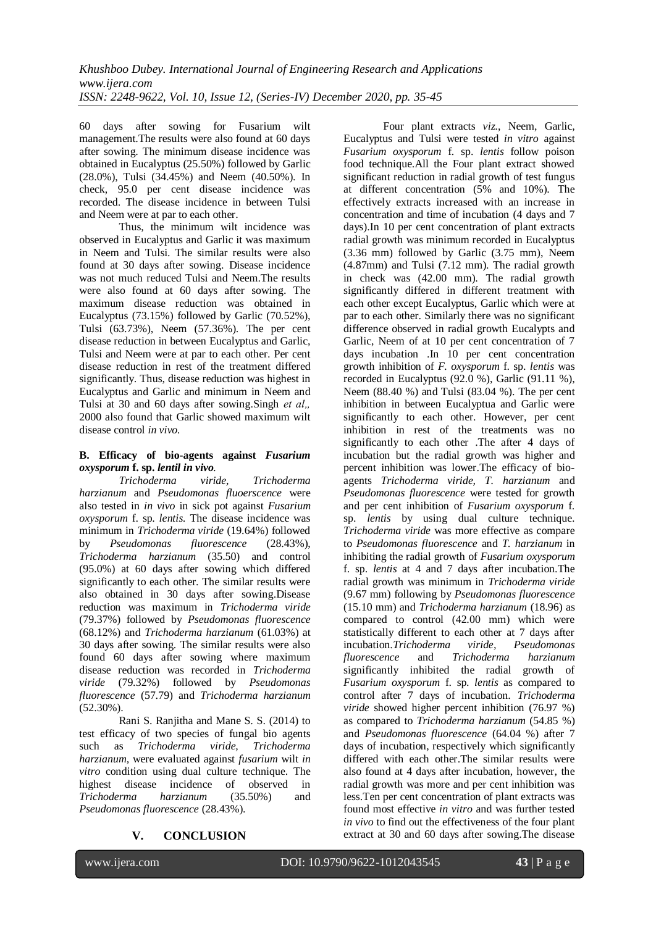60 days after sowing for Fusarium wilt management.The results were also found at 60 days after sowing. The minimum disease incidence was obtained in Eucalyptus (25.50%) followed by Garlic (28.0%), Tulsi (34.45%) and Neem (40.50%). In check, 95.0 per cent disease incidence was recorded. The disease incidence in between Tulsi and Neem were at par to each other.

Thus, the minimum wilt incidence was observed in Eucalyptus and Garlic it was maximum in Neem and Tulsi. The similar results were also found at 30 days after sowing. Disease incidence was not much reduced Tulsi and Neem.The results were also found at 60 days after sowing. The maximum disease reduction was obtained in Eucalyptus (73.15%) followed by Garlic (70.52%), Tulsi (63.73%), Neem (57.36%). The per cent disease reduction in between Eucalyptus and Garlic, Tulsi and Neem were at par to each other. Per cent disease reduction in rest of the treatment differed significantly. Thus, disease reduction was highest in Eucalyptus and Garlic and minimum in Neem and Tulsi at 30 and 60 days after sowing.Singh *et al.*, 2000 also found that Garlic showed maximum wilt disease control *in vivo.*

## **B. Efficacy of bio-agents against** *Fusarium oxysporum* **f. sp.** *lentil in vivo.*

*Trichoderma viride, Trichoderma harzianum* and *Pseudomonas fluoerscence* were also tested in *in vivo* in sick pot against *Fusarium oxysporum* f. sp. *lentis.* The disease incidence was minimum in *Trichoderma viride* (19.64%) followed by *Pseudomonas fluorescence* (28.43%), *Trichoderma harzianum* (35.50) and control (95.0%) at 60 days after sowing which differed significantly to each other. The similar results were also obtained in 30 days after sowing.Disease reduction was maximum in *Trichoderma viride* (79.37%) followed by *Pseudomonas fluorescence* (68.12%) and *Trichoderma harzianum* (61.03%) at 30 days after sowing. The similar results were also found 60 days after sowing where maximum disease reduction was recorded in *Trichoderma viride* (79.32%) followed by *Pseudomonas fluorescence* (57.79) and *Trichoderma harzianum* (52.30%).

Rani S. Ranjitha and Mane S. S. (2014) to test efficacy of two species of fungal bio agents such as *Trichoderma viride, Trichoderma harzianum,* were evaluated against *fusarium* wilt *in vitro* condition using dual culture technique. The highest disease incidence of observed in *Trichoderma harzianum* (35.50%) and *Pseudomonas fluorescence* (28.43%).

Four plant extracts *viz*., Neem, Garlic, Eucalyptus and Tulsi were tested *in vitro* against *Fusarium oxysporum* f. sp. *lentis* follow poison food technique.All the Four plant extract showed significant reduction in radial growth of test fungus at different concentration (5% and 10%). The effectively extracts increased with an increase in concentration and time of incubation (4 days and 7 days).In 10 per cent concentration of plant extracts radial growth was minimum recorded in Eucalyptus (3.36 mm) followed by Garlic (3.75 mm), Neem (4.87mm) and Tulsi (7.12 mm). The radial growth in check was (42.00 mm). The radial growth significantly differed in different treatment with each other except Eucalyptus, Garlic which were at par to each other. Similarly there was no significant difference observed in radial growth Eucalypts and Garlic, Neem of at 10 per cent concentration of 7 days incubation .In 10 per cent concentration growth inhibition of *F. oxysporum* f. sp. *lentis* was recorded in Eucalyptus (92.0 %), Garlic (91.11 %), Neem (88.40 %) and Tulsi (83.04 %). The per cent inhibition in between Eucalyptua and Garlic were significantly to each other. However, per cent inhibition in rest of the treatments was no significantly to each other .The after 4 days of incubation but the radial growth was higher and percent inhibition was lower.The efficacy of bioagents *Trichoderma viride, T. harzianum* and *Pseudomonas fluorescence* were tested for growth and per cent inhibition of *Fusarium oxysporum* f. sp. *lentis* by using dual culture technique. *Trichoderma viride* was more effective as compare to *Pseudomonas fluorescence* and *T. harzianum* in inhibiting the radial growth of *Fusarium oxysporum* f. sp. *lentis* at 4 and 7 days after incubation.The radial growth was minimum in *Trichoderma viride* (9.67 mm) following by *Pseudomonas fluorescence* (15.10 mm) and *Trichoderma harzianum* (18.96) as compared to control (42.00 mm) which were statistically different to each other at 7 days after incubation.*Trichoderma viride, Pseudomonas fluorescence* and *Trichoderma harzianum*  significantly inhibited the radial growth of *Fusarium oxysporum* f. sp. *lentis* as compared to control after 7 days of incubation. *Trichoderma viride* showed higher percent inhibition (76.97 %) as compared to *Trichoderma harzianum* (54.85 %) and *Pseudomonas fluorescence* (64.04 %) after 7 days of incubation, respectively which significantly differed with each other.The similar results were also found at 4 days after incubation, however, the radial growth was more and per cent inhibition was less.Ten per cent concentration of plant extracts was found most effective *in vitro* and was further tested *in vivo* to find out the effectiveness of the four plant extract at 30 and 60 days after sowing.The disease

## **V. CONCLUSION**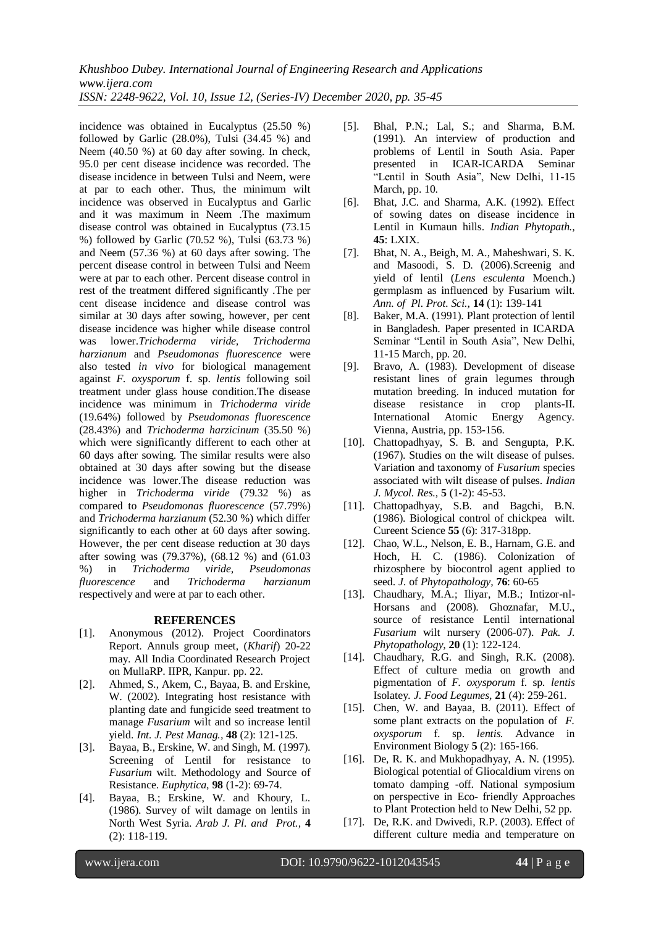*Khushboo Dubey. International Journal of Engineering Research and Applications www.ijera.com ISSN: 2248-9622, Vol. 10, Issue 12, (Series-IV) December 2020, pp. 35-45*

incidence was obtained in Eucalyptus (25.50 %) followed by Garlic (28.0%), Tulsi (34.45 %) and Neem (40.50 %) at 60 day after sowing. In check, 95.0 per cent disease incidence was recorded. The disease incidence in between Tulsi and Neem, were at par to each other. Thus, the minimum wilt incidence was observed in Eucalyptus and Garlic and it was maximum in Neem .The maximum disease control was obtained in Eucalyptus (73.15 %) followed by Garlic (70.52 %), Tulsi (63.73 %) and Neem (57.36 %) at 60 days after sowing. The percent disease control in between Tulsi and Neem were at par to each other. Percent disease control in rest of the treatment differed significantly .The per cent disease incidence and disease control was similar at 30 days after sowing, however, per cent disease incidence was higher while disease control was lower.*Trichoderma viride, Trichoderma harzianum* and *Pseudomonas fluorescence* were also tested *in vivo* for biological management against *F. oxysporum* f. sp. *lentis* following soil treatment under glass house condition.The disease incidence was minimum in *Trichoderma viride* (19.64%) followed by *Pseudomonas fluorescence* (28.43%) and *Trichoderma harzicinum* (35.50 %) which were significantly different to each other at 60 days after sowing. The similar results were also obtained at 30 days after sowing but the disease incidence was lower.The disease reduction was higher in *Trichoderma viride* (79.32 %) as compared to *Pseudomonas fluorescence* (57.79%) and *Trichoderma harzianum* (52.30 %) which differ significantly to each other at 60 days after sowing. However, the per cent disease reduction at 30 days after sowing was (79.37%), (68.12 %) and (61.03 %) in *Trichoderma viride, Pseudomonas fluorescence* and *Trichoderma harzianum* respectively and were at par to each other.

#### **REFERENCES**

- [1]. Anonymous (2012). Project Coordinators Report. Annuls group meet, (*Kharif*) 20-22 may. All India Coordinated Research Project on MullaRP. IIPR, Kanpur. pp. 22.
- [2]. Ahmed, S., Akem, C., Bayaa, B. and Erskine, W. (2002). Integrating host resistance with planting date and fungicide seed treatment to manage *Fusarium* wilt and so increase lentil yield. *Int. J. Pest Manag.,* **48** (2): 121-125.
- [3]. Bayaa, B., Erskine, W. and Singh, M. (1997). Screening of Lentil for resistance to *Fusarium* wilt. Methodology and Source of Resistance. *Euphytica*, **98** (1-2): 69-74.
- [4]. Bayaa, B.; Erskine, W. and Khoury, L. (1986). Survey of wilt damage on lentils in North West Syria. *Arab J. Pl. and Prot.,* **4**  (2): 118-119.
- [5]. Bhal, P.N.; Lal, S.; and Sharma, B.M. (1991). An interview of production and problems of Lentil in South Asia. Paper presented in ICAR-ICARDA Seminar "Lentil in South Asia", New Delhi, 11-15 March, pp. 10.
- [6]. Bhat, J.C. and Sharma, A.K. (1992). Effect of sowing dates on disease incidence in Lentil in Kumaun hills. *Indian Phytopath.,*  **45**: LXIX.
- [7]. Bhat, N. A., Beigh, M. A., Maheshwari, S. K. and Masoodi, S. D. (2006).Screenig and yield of lentil (*Lens esculenta* Moench.) germplasm as influenced by Fusarium wilt. *Ann. of Pl. Prot. Sci.,* **14** (1): 139-141
- [8]. Baker, M.A. (1991). Plant protection of lentil in Bangladesh. Paper presented in ICARDA Seminar "Lentil in South Asia", New Delhi, 11-15 March, pp. 20.
- [9]. Bravo, A. (1983). Development of disease resistant lines of grain legumes through mutation breeding. In induced mutation for disease resistance in crop plants-II. International Atomic Energy Agency. Vienna, Austria, pp. 153-156.
- [10]. Chattopadhyay, S. B. and Sengupta, P.K. (1967). Studies on the wilt disease of pulses. Variation and taxonomy of *Fusarium* species associated with wilt disease of pulses. *Indian J. Mycol. Res.,* **5** (1-2): 45-53.
- [11]. Chattopadhyay, S.B. and Bagchi, B.N. (1986). Biological control of chickpea wilt. Cureent Science **55** (6): 317-318pp.
- [12]. Chao, W.L., Nelson, E. B., Harnam, G.E. and Hoch, H. C. (1986). Colonization of rhizosphere by biocontrol agent applied to seed. *J.* of *Phytopathology,* **76**: 60-65
- [13]. Chaudhary, M.A.; Iliyar, M.B.; Intizor-nl-Horsans and (2008). Ghoznafar, M.U., source of resistance Lentil international *Fusarium* wilt nursery (2006-07). *Pak. J. Phytopathology,* **20** (1): 122-124.
- [14]. Chaudhary, R.G. and Singh, R.K. (2008). Effect of culture media on growth and pigmentation of *F. oxysporum* f. sp*. lentis*  Isolatey*. J. Food Legumes,* **21** (4): 259-261.
- [15]. Chen, W. and Bayaa, B. (2011). Effect of some plant extracts on the population of *F. oxysporum* f. sp. *lentis.* Advance in Environment Biology **5** (2): 165-166.
- [16]. De, R. K. and Mukhopadhyay, A. N. (1995). Biological potential of Gliocaldium virens on tomato damping -off. National symposium on perspective in Eco- friendly Approaches to Plant Protection held to New Delhi, 52 pp.
- [17]. De, R.K. and Dwivedi, R.P. (2003). Effect of different culture media and temperature on